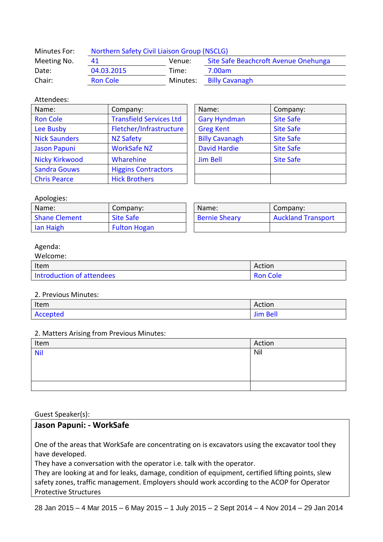| Minutes For: | Northern Safety Civil Liaison Group (NSCLG) |          |                                      |  |
|--------------|---------------------------------------------|----------|--------------------------------------|--|
| Meeting No.  | 41                                          | Venue:   | Site Safe Beachcroft Avenue Onehunga |  |
| Date:        | 04.03.2015                                  | Time:    | 7.00am                               |  |
| Chair:       | <b>Ron Cole</b>                             | Minutes: | <b>Billy Cavanagh</b>                |  |

## Attendees:

| Name:                 | Company:                       | Name:                 | Company:         |
|-----------------------|--------------------------------|-----------------------|------------------|
| <b>Ron Cole</b>       | <b>Transfield Services Ltd</b> | <b>Gary Hyndman</b>   | <b>Site Safe</b> |
| Lee Busby             | Fletcher/Infrastructure        | <b>Greg Kent</b>      | <b>Site Safe</b> |
| <b>Nick Saunders</b>  | <b>NZ Safety</b>               | <b>Billy Cavanagh</b> | <b>Site Safe</b> |
| <b>Jason Papuni</b>   | <b>WorkSafe NZ</b>             | <b>David Hardie</b>   | <b>Site Safe</b> |
| <b>Nicky Kirkwood</b> | Wharehine                      | <b>Jim Bell</b>       | <b>Site Safe</b> |
| <b>Sandra Gouws</b>   | <b>Higgins Contractors</b>     |                       |                  |
| <b>Chris Pearce</b>   | <b>Hick Brothers</b>           |                       |                  |

| Name:                 | Company:         |  |
|-----------------------|------------------|--|
| <b>Gary Hyndman</b>   | <b>Site Safe</b> |  |
| <b>Greg Kent</b>      | <b>Site Safe</b> |  |
| <b>Billy Cavanagh</b> | <b>Site Safe</b> |  |
| <b>David Hardie</b>   | <b>Site Safe</b> |  |
| <b>Jim Bell</b>       | <b>Site Safe</b> |  |
|                       |                  |  |
|                       |                  |  |

### Apologies:

| Name:         | Company:            | Name:                | Company:                  |
|---------------|---------------------|----------------------|---------------------------|
| Shane Clement | <b>Site Safe</b>    | <b>Bernie Sheary</b> | <b>Auckland Transport</b> |
| lan Haigh     | <b>Fulton Hogan</b> |                      |                           |

### Agenda:

| Welcome:                  |                 |
|---------------------------|-----------------|
| Item                      | Action          |
| Introduction of attendees | <b>Ron Cole</b> |

#### 2. Previous Minutes:

| Item     | Action          |
|----------|-----------------|
| Accepted | <b>Jim Bell</b> |

# 2. Matters Arising from Previous Minutes:

| $\sim$ |        |
|--------|--------|
| Item   | Action |
| Nil    | Nil    |
|        |        |
|        |        |
|        |        |
|        |        |

#### Guest Speaker(s):

# **Jason Papuni: - WorkSafe**

One of the areas that WorkSafe are concentrating on is excavators using the excavator tool they have developed.

They have a conversation with the operator i.e. talk with the operator.

They are looking at and for leaks, damage, condition of equipment, certified lifting points, slew safety zones, traffic management. Employers should work according to the ACOP for Operator Protective Structures

28 Jan 2015 – 4 Mar 2015 – 6 May 2015 – 1 July 2015 – 2 Sept 2014 – 4 Nov 2014 – 29 Jan 2014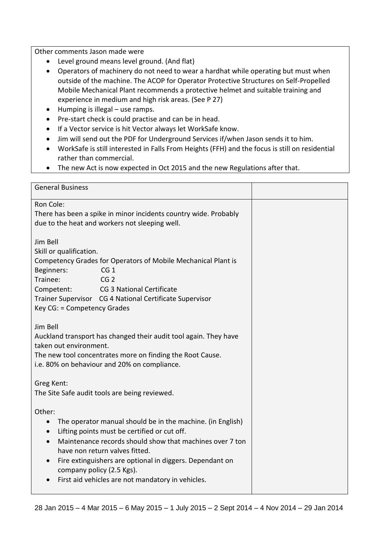Other comments Jason made were

- Level ground means level ground. (And flat)
- Operators of machinery do not need to wear a hardhat while operating but must when outside of the machine. The ACOP for Operator Protective Structures on Self-Propelled Mobile Mechanical Plant recommends a protective helmet and suitable training and experience in medium and high risk areas. (See P 27)
- Humping is illegal use ramps.
- Pre-start check is could practise and can be in head.
- If a Vector service is hit Vector always let WorkSafe know.
- Jim will send out the PDF for Underground Services if/when Jason sends it to him.
- WorkSafe is still interested in Falls From Heights (FFH) and the focus is still on residential rather than commercial.
- The new Act is now expected in Oct 2015 and the new Regulations after that.

| <b>General Business</b>                                                                                                                                                                                                                                                                                                                                                                                 |  |
|---------------------------------------------------------------------------------------------------------------------------------------------------------------------------------------------------------------------------------------------------------------------------------------------------------------------------------------------------------------------------------------------------------|--|
| Ron Cole:<br>There has been a spike in minor incidents country wide. Probably<br>due to the heat and workers not sleeping well.                                                                                                                                                                                                                                                                         |  |
| Jim Bell<br>Skill or qualification.<br>Competency Grades for Operators of Mobile Mechanical Plant is<br>Beginners:<br>CG <sub>1</sub><br>Trainee:<br>CG <sub>2</sub><br>Competent:<br><b>CG 3 National Certificate</b><br>Trainer Supervisor CG 4 National Certificate Supervisor<br>Key CG: = Competency Grades                                                                                        |  |
| Jim Bell<br>Auckland transport has changed their audit tool again. They have<br>taken out environment.<br>The new tool concentrates more on finding the Root Cause.<br>i.e. 80% on behaviour and 20% on compliance.                                                                                                                                                                                     |  |
| Greg Kent:<br>The Site Safe audit tools are being reviewed.                                                                                                                                                                                                                                                                                                                                             |  |
| Other:<br>The operator manual should be in the machine. (in English)<br>$\bullet$<br>Lifting points must be certified or cut off.<br>$\bullet$<br>Maintenance records should show that machines over 7 ton<br>have non return valves fitted.<br>Fire extinguishers are optional in diggers. Dependant on<br>$\bullet$<br>company policy (2.5 Kgs).<br>First aid vehicles are not mandatory in vehicles. |  |